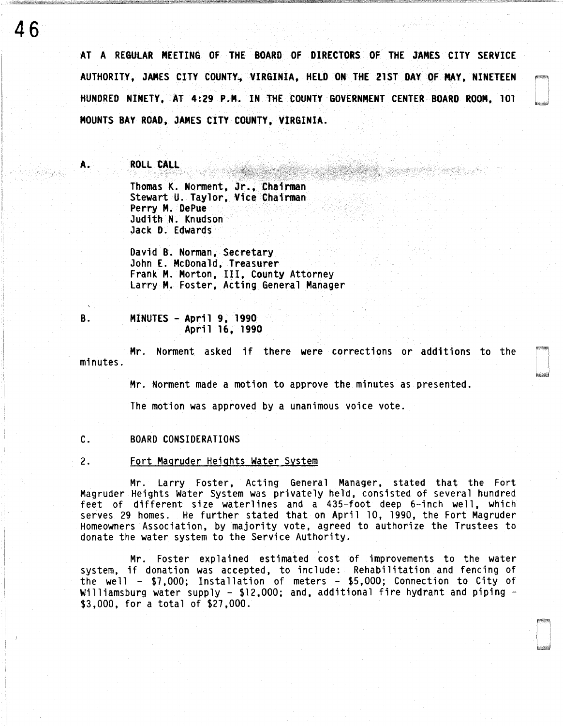AT A REGULAR MEETING OF THE BOARD OF DIRECTORS OF THE JAMES CITY SERVICE AUTHORITY, JAMES CITY COUNTY, VIRGINIA, HELD ON THE 21ST DAY OF MAY, NINETEEN HUNDRED NINETY, AT 4:29 P.M. IN THE COUNTY GOVERNMENT CENTER BOARD ROOM, 101 MOUNTS BAY ROAD, JAMES CITY COUNTY, VIRGINIA.

A. ROLL CALL

46

Thomas K. Norment, Jr., Chairman Stewart U. Taylor, Vice Chairman Perry M. DePue Judith N. Knudson Jack D. Edwards

David 8. Norman, Secretary John E. McDonald, Treasurer Frank M. Morton, III, County Attorney Larry M. Foster, Acting General Manager

8. MINUTES - April 9, 1990 April 16, 1990

Mr. Norment asked if there were corrections or additions to the minutes.

Mr. Norment made a motion to approve the minutes as presented.

The motion was approved by a unanimous voice vote.

C. BOARD CONSIDERATIONS

2. Fort Magruder Heights Water System

Mr. Larry Foster, Acting General Manager, stated that the Fort Magruder Heights Water System was privately held, consisted of several hundred feet of different size waterlines and a 435-foot deep 6-inch well, which serves 29 homes. He further stated that on April 10, 1990, the Fort Magruder Homeowners Association, by majority vote, agreed to authorize the Trustees to donate the water system to the Service Authority.

' Mr. Foster explained estimated cost of improvements to the water system, if donation was accepted, to include: Rehabilitation and fencing of the well - \$7,000; Installation of meters - \$5,000; Connection to City of Williamsburg water supply -  $$12,000$ ; and, additional fire hydrant and piping -  $$3,000$ , for a total of  $$27,000$ .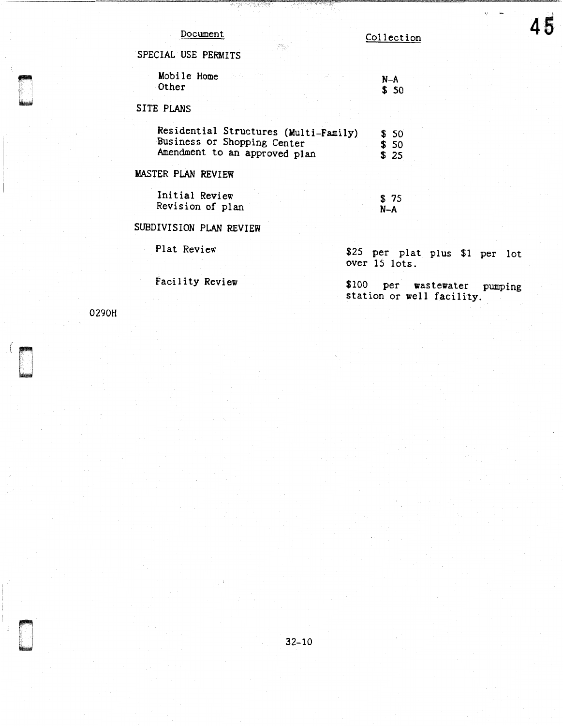Collection

SPECIAL USE PERMITS

| Mobile Home |  | $N-A$ |
|-------------|--|-------|
|             |  |       |
| Other       |  | \$50  |

.<br>기억% :

## SITE PLANS

| Residential Structures (Multi-Family) | \$ 50 |
|---------------------------------------|-------|
| Business or Shopping Center           | \$ 50 |
| Amendment to an approved plan         | \$ 25 |

# MASTER PLAN REVIEW

| Initial Review   |  | \$75 |
|------------------|--|------|
| Revision of plan |  | N-A  |

## SUBDIVISION PLAN REVIEW

Plat Review

Facility Review

\$25 per plat plus \$1 per lot over 15 lots.

\$100 per wastewater pumping station or well facility.

0290H

**Designations**<br>Designations<br>Designations

 $\eta = 1$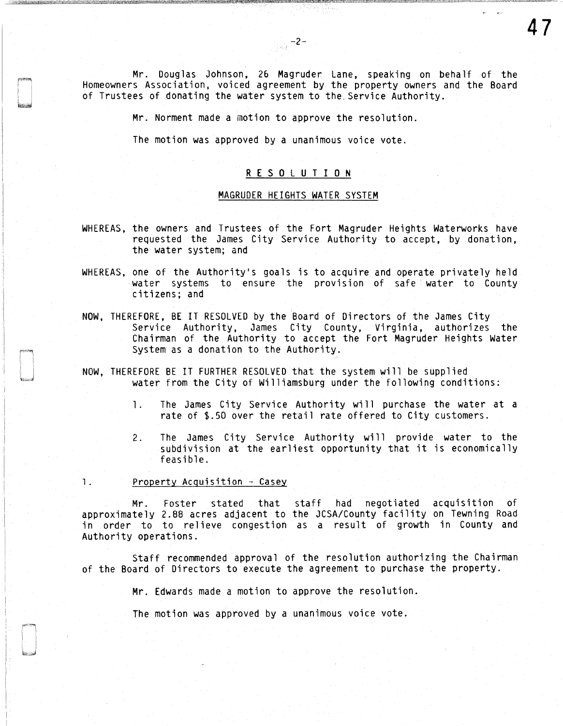Mr. Douglas Johnson, 26 Magruder Lane, speaking on behalf of the Homeowners Association. voiced agreement by the property owners and the Board of Trustees of donating the water system to the. Service Authority.

47

 $\frac{1}{\sqrt{2\pi\epsilon_0^2}}$  –2–

Mr. Norment made a motion to approve the resolution.

The motion was approved by a unanimous voice vote.

#### R E S 0 L U T I 0 N

#### MAGRUDER HEIGHTS WATER SYSTEM

- WHEREAS, the owners and Trustees of the Fort Magruder Heights Waterworks have requested the James City Service Authority to accept, by donation, the water system; and
- WHEREAS, one of the Authority's goals is to acquire and operate privately held water systems to ensure the provision of safe water to County citizens; and
- NOW, THEREFORE, BE IT RESOLVED by the Board of Directors of the James City Service Authority, James City County, Virginia, authorizes the Chairman of the Authority to accept the Fort Magruder Heights Water System as a donation to the Authority.
- NOW, THEREFORE BE IT FURTHER RESOLVED that the system will be supplied water from the City of Williamsburg under the following conditions:
	- 1. The James City Service Authority will purchase the water at a rate of \$.50 over the retail rate offered to City customers.
	- 2. The James City Service Authority will provide water to the subdivision at the earliest opportunity that it is economically feasible.
- 1. Property Acquisition Casey

Mr. Foster stated that staff had negotiated acquisition of approximately 2.88 acres adjacent to the JCSA/County facility on Tewning Road in order to to relieve congestion as a result of growth in County and Authority operations.

Staff recommended approval of the resolution authorizing the Chairman of the Board of Directors to execute the agreement to purchase the property.

Mr. Edwards made a motion to approve the resolution.

The motion was approved by a unanimous voice vote.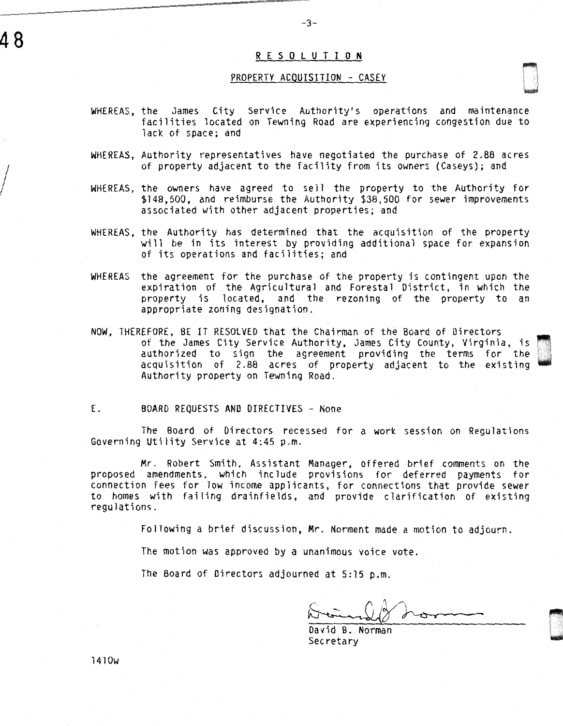### R E S 0 L U T I 0 N

-3-

#### PROPERTY ACOUISITION - CASEY

u<br>under

 $~$ 

- WHEREAS, the James City Service Authority's operations and maintenance facilities located on Tewning Road are experiencing congestion due to lack of space; and
- WHEREAS, Authority representatives have negotiated the purchase of 2.88 acres of property adjacent to the facility from its owners (Caseys); and
- WHEREAS, the owners have agreed to sell the property to the Authority for \$148, 500, and reimburse the Authority \$38, 500 for sewer improvements associated with other adjacent properties; and
- WHEREAS, the Authority has determined that the acquisition of the property will be in its interest by providing additional space for expansion of its operations and facilities; and
- WHEREAS the agreement for the purchase of the property is contingent upon the expiration of the Agricultural and Forestal District, in which the property is located, and the rezoning of the property to an appropriate zoning designation.
- NOW, THEREFORE, BE IT RESOLVED that the Chairman of the Board of Directors of the James City Service Authority, James City County, Virginia, is authorized to sign the agreement providing the terms for the acquisition of 2.88 acres of property adjacent to the existing Authority property on Tewning Road.
- E. BOARD REQUESTS AND DIRECTIVES None

The Board of Directors recessed for a work session on Regulations Governing Utility Service at 4:45 p.m.

Mr. Robert Smith, Assistant Manager, offered brief comments on the proposed amendments, which include provisions for deferred payments for connection fees for low income applicants, for connections that provide sewer to homes with failing drainfields, and provide clarification of existing regulations.

Following a brief discussion, Mr. Norment made a motion to adjourn.

The motion was approved by a unanimous voice vote.

The Board of Directors adjourned at 5:15 p.m.

David B. Norman **Secretary** 

1410w

48

 $\Bigg)$ 

 $\frac{1}{2}$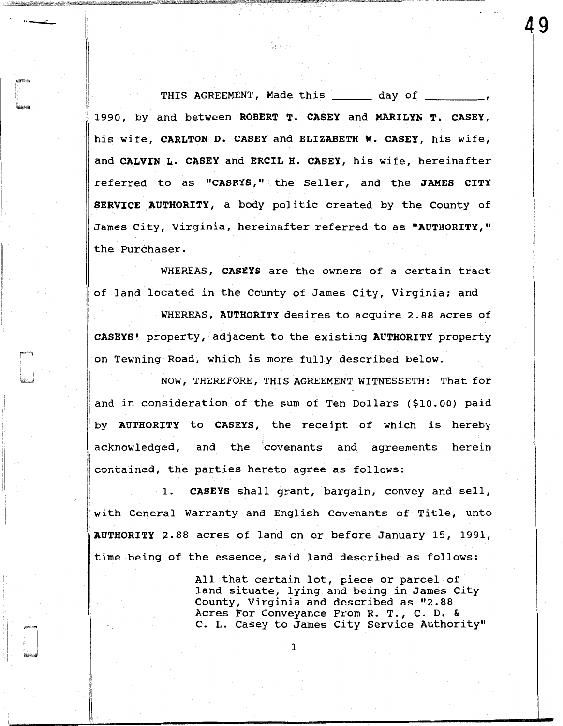THIS AGREEMENT, Made this \_\_\_\_\_\_ day of \_ 1990, by and between ROBERT T. CASEY and MARILYN T. CASEY, his wife, CARLTON D. CASEY and ELIZABETH W. CASEY, his wife, and CALVIN L. CASEY and ERCIL H. CASEY, his wife, hereinafter referred to as "CASEYS," the Seller, and the JAMES CITY SERVICE AUTHORITY, a body politic created by the County of James City, Virginia, hereinafter referred to as "AUTHORITY," the Purchaser.

森津

49  $\vert$ 

WHEREAS, CASEYS are the owners of a certain tract of land located in the County of James City, Virginia; and

WHEREAS, AUTHORITY desires to acquire 2.88 acres of CASEYS! property, adjacent to the existing AUTHORITY property on Tewning Road, which is more fully described below.

NOW, THEREFORE, THIS AGREEMENT WITNESSETH: That for and in consideration of the sum of Ten Dollars (\$10.00) paid by AUTHORITY to CASEYS, the receipt of which is hereby acknowledged, and the covenants and agreements herein contained, the parties hereto agree as follows:

1. CASEYS shall grant, bargain, convey and sell, with General Warranty and English Covenants of Title, unto AUTHORITY 2.88 acres of land on or before January 15, 1991, time being of the essence, said land described as follows:

> All that certain lot, piece or parcel of land situate, lying and being in James City County, Virginia and described as "2.88 Acres For Conveyance From R. T., c. D. & c. L. Casey to James City Service Authority"

> > 1

I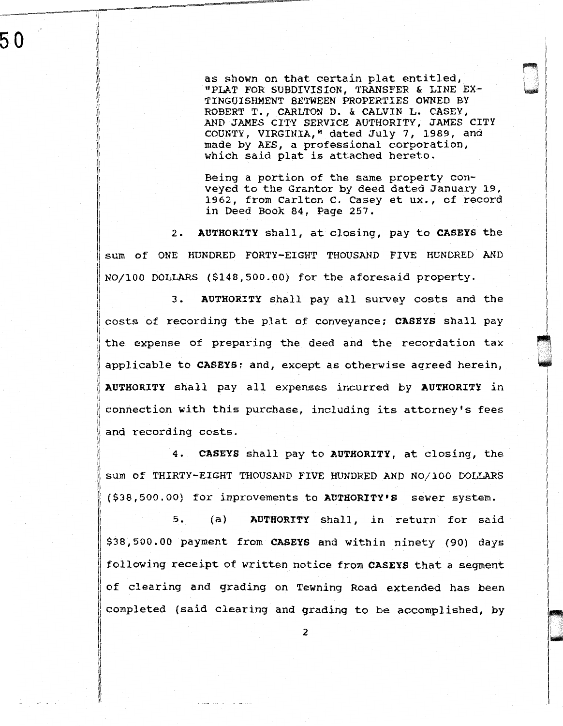as shown on that certain plat entitled, "PLAT FOR SUBDIVISION, TRANSFER & LINE EX-TINGUISHMENT BETWEEN PROPERTIES OWNED BY ROBERT T., CARLTON D. & CALVIN L. CASEY, AND JAMES CITY SERVICE AUTHORITY, JAMES CITY COUNTY, VIRGINIA," dated July 7, 1989, and made by AES, a professional corporation, which said plat is attached hereto.

 $\begin{bmatrix} 1 & 1 \\ 1 & 1 \end{bmatrix}$ I .. "

> $\mathbf{I}$  $\blacksquare$

~

I

l

Being a portion of the same property conveyed to the Grantor by deed dated January 19, 1962, from Carlton c. Casey et ux., of record in Deed Book 84, Page 257.

2. AUTHORITY shall, at closing, pay to CASEYS the sum of ONE HUNDRED FORTY-EIGHT THOUSAND FIVE HUNDRED AND N0/100 DOLLARS (\$148,500.00) for the aforesaid property.

3. AUTHORITY shall pay all survey costs and the costs of recording the plat of conveyance; CASEYS shall pay the expense of preparing the deed and the recordation tax applicable to CASEYS; and, except as otherwise agreed herein, AUTHORITY shall pay all expenses incurred by AUTHORITY in connection with this purchase, including its attorney's fees and recording costs.

4. CASEYS shall pay to AUTHORITY, at closing, the sum of THIRTY-EIGHT THOUSAND FIVE HUNDRED AND N0/100 DOLLARS (\$38,500.00) for improvements to AUTHORITY'S sewer system.

5. (a) AUTHORITY shall, in return for said \$38,500.00 payment from CASEYS and within ninety (90) days following receipt of written notice from CASEYS that a segment of clearing and grading on Tewning Road extended has been completed (said clearing and grading to be accomplished, by

50

2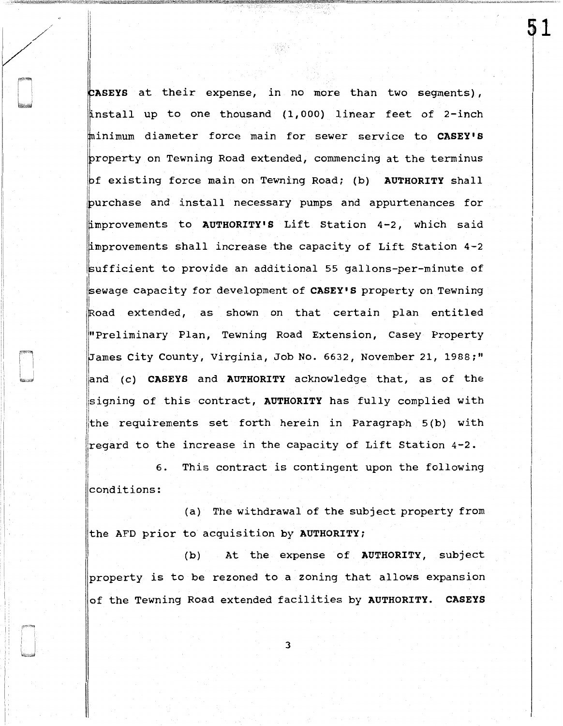ASEYS at their expense, in no more than two segments), 'nstall up to one thousand (1,000) linear feet of 2-inch minimum diameter force main for sewer service to CASEY'S property on Tewning Road extended, commencing at the terminus of existing force main on Tewning Road; (b) AUTHORITY shall purchase and install necessary pumps and appurtenances for improvements to AUTHORITY'S Lift Station 4-2, which said improvements shall increase the capacity of Lift Station 4-2 ufficient to provide an additional 55 gallons-per-minute of sewage capacity for development of CASEY'S property on Tewning Road extended, as shown on that certain plan entitled l"Preliminary Plan, Tewning Road Extension, Casey Property James City County, Virginia, Job No. 6632, November 21, 1988;" land (c) CASEYS and AUTHORITY acknowledge that, as of the signing of this contract, AUTHORITY has fully complied with the requirements set forth herein in Paragraph 5(b) with regard to the increase in the capacity of Lift Station 4-2.

명했다

51 I

6. This contract is contingent upon the following conditions:

I

!

'' I

(a) The withdrawal of the subject property from the AFD prior to acquisition by AUTHORITY;

(b) At the expense of AUTHORITY, subject property is to be rezoned to a zoning that allows expansion of the Tewning Road extended facilities by AUTHORITY. CASEYS

3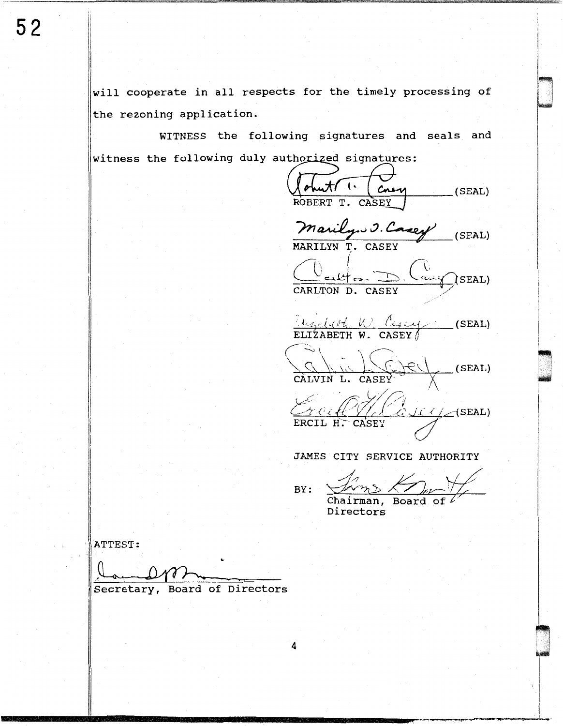will cooperate in all respects for the timely processing of the rezoning application.

WITNESS the following signatures and seals and witness the following duly authorized signatures:

4

Cnew  $(SEAL)$ CASEY ROBERT T. Marilyn J. Casey  $(SEAL)$ MARILYN T. CASEY  $\bigcap$ SEAL) CARLTON D. CASEY  $\frac{L_{\mathcal{L}_{\mathcal{A}}/d}(\mathcal{L}_{\mathcal{L}}) \cup L_{\mathcal{L}_{\mathcal{A}}/d}}{ELIZABETH W. CASEY}$  (SEAL) CALVIN L. CASEY  $\overline{y}$  $_{c}$ (SEAL)  $\ell \ell \angle$  (SEAL) ERCIL H. CASEY

JAMES CITY SERVICE AUTHORITY

 $BY:$ 

Chairman. Board of  $\ell$ Directors

ATTEST:

Secretary, Board of Directors

 $52$